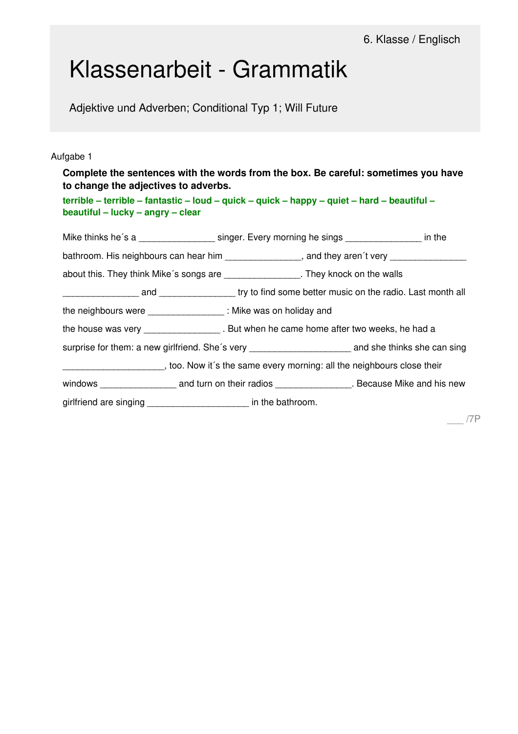# Klassenarbeit - Grammatik

Adjektive und Adverben; Conditional Typ 1; Will Future

### Aufgabe 1

\_\_\_ /7P **Complete the sentences with the words from the box. Be careful: sometimes you have to change the adjectives to adverbs.** terrible - terrible - fantastic - loud - quick - quick - happy - quiet - hard - beautiful **beautiful – lucky – angry – clear** Mike thinks he's a \_\_\_\_\_\_\_\_\_\_\_\_\_\_\_\_\_\_\_\_ singer. Every morning he sings \_\_\_\_\_\_\_\_\_\_\_\_\_\_\_\_\_ in the bathroom. His neighbours can hear him example and they aren't very about this. They think Mike´s songs are \_\_\_\_\_\_\_\_\_\_\_\_\_\_\_. They knock on the walls and **Example 3** and try to find some better music on the radio. Last month all the neighbours were \_\_\_\_\_\_\_\_\_\_\_\_\_\_\_ : Mike was on holiday and the house was very **the house was very** . But when he came home after two weeks, he had a surprise for them: a new girlfriend. She's very \_\_\_\_\_\_\_\_\_\_\_\_\_\_\_\_\_\_\_\_\_\_\_\_\_\_\_\_\_\_\_\_ and she thinks she can sing **EXECUTE:** too. Now it's the same every morning: all the neighbours close their windows \_\_\_\_\_\_\_\_\_\_\_\_\_\_\_\_\_\_\_\_\_ and turn on their radios \_\_\_\_\_\_\_\_\_\_\_\_\_\_\_\_\_\_. Because Mike and his new girlfriend are singing \_\_\_\_\_\_\_\_\_\_\_\_\_\_\_\_\_\_\_\_ in the bathroom.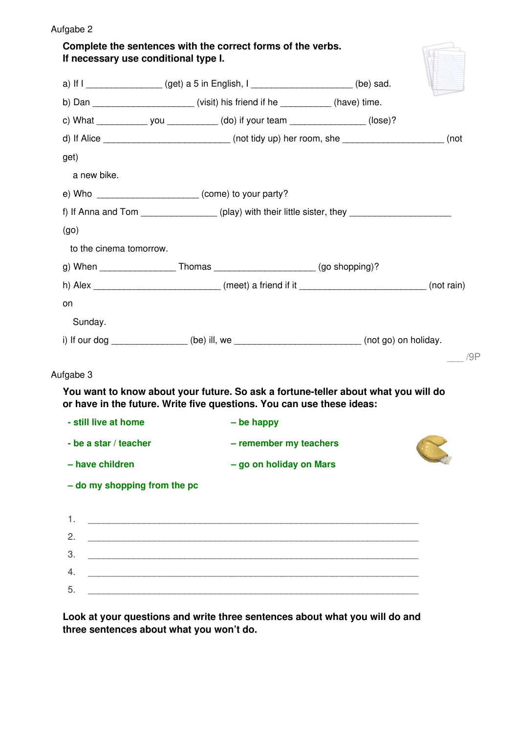| If necessary use conditional type I. | Complete the sentences with the correct forms of the verbs.                                                            |     |
|--------------------------------------|------------------------------------------------------------------------------------------------------------------------|-----|
|                                      | a) If $I$ __________________(get) a 5 in English, $I$ _____________________(be) sad.                                   |     |
|                                      | b) Dan __________________________(visit) his friend if he ____________(have) time.                                     |     |
|                                      | c) What ________________ you _____________ (do) if your team ___________________ (lose)?                               |     |
|                                      | d) If Alice ______________________________(not tidy up) her room, she _____________________(not                        |     |
| get)                                 |                                                                                                                        |     |
| a new bike.                          |                                                                                                                        |     |
|                                      | e) Who _______________________ (come) to your party?                                                                   |     |
|                                      | f) If Anna and Tom ______________ (play) with their little sister, they ____________________________                   |     |
| (go)                                 |                                                                                                                        |     |
| to the cinema tomorrow.              |                                                                                                                        |     |
|                                      | g) When ___________________Thomas ________________________(go shopping)?                                               |     |
|                                      | h) Alex ______________________________(meet) a friend if it ___________________________(not rain)                      |     |
| on                                   |                                                                                                                        |     |
| Sunday.                              |                                                                                                                        |     |
|                                      |                                                                                                                        |     |
|                                      | i) If our dog ________________(be) ill, we _________________________(not go) on holiday.                               |     |
|                                      | You want to know about your future. So ask a fortune-teller about what you will do                                     |     |
| Aufgabe 3<br>- still live at home    | or have in the future. Write five questions. You can use these ideas:<br>- be happy                                    |     |
| - be a star / teacher                | - remember my teachers                                                                                                 |     |
| - have children                      | - go on holiday on Mars                                                                                                |     |
| - do my shopping from the pc         |                                                                                                                        | /9P |
|                                      |                                                                                                                        |     |
| 1.                                   |                                                                                                                        |     |
| 2.                                   | <u> 1989 - Johann John Harry Harry Harry Harry Harry Harry Harry Harry Harry Harry Harry Harry Harry Harry Harry H</u> |     |
| 3.                                   |                                                                                                                        |     |

**Look at your questions and write three sentences about what you will do and three sentences about what you won't do.**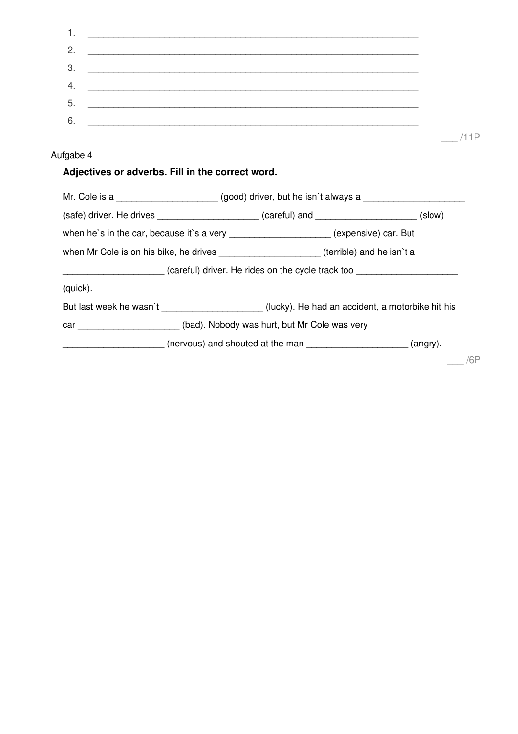| 1.        |                                                                                                      |  |            |
|-----------|------------------------------------------------------------------------------------------------------|--|------------|
| 2.        |                                                                                                      |  |            |
| 3.        |                                                                                                      |  |            |
| 4.        |                                                                                                      |  |            |
| 5.        |                                                                                                      |  |            |
| 6.        |                                                                                                      |  |            |
|           |                                                                                                      |  | /11P       |
| Aufgabe 4 |                                                                                                      |  |            |
|           | Adjectives or adverbs. Fill in the correct word.                                                     |  |            |
|           | Mr. Cole is a _____________________(good) driver, but he isn`t always a ____________________________ |  |            |
|           | $(safe)$ driver. He drives _______________________ (careful) and ______________________ (slow)       |  |            |
|           | when he's in the car, because it's a very ____________________(expensive) car. But                   |  |            |
|           | when Mr Cole is on his bike, he drives _____________________(terrible) and he isn't a                |  |            |
|           | (careful) driver. He rides on the cycle track too                                                    |  |            |
| (quick).  |                                                                                                      |  |            |
|           | But last week he wasn't ____________________(lucky). He had an accident, a motorbike hit his         |  |            |
|           | car _____________________(bad). Nobody was hurt, but Mr Cole was very                                |  |            |
|           | (angry).                                                                                             |  |            |
|           |                                                                                                      |  | $\sqrt{2}$ |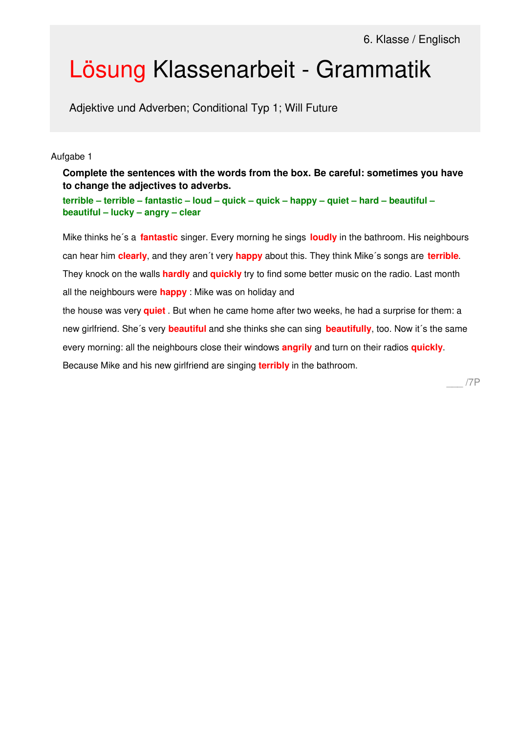# Lösung Klassenarbeit - Grammatik

Adjektive und Adverben; Conditional Typ 1; Will Future

#### Aufgabe 1

**Complete the sentences with the words from the box. Be careful: sometimes you have to change the adjectives to adverbs.**

terrible - terrible - fantastic - loud - quick - quick - happy - quiet - hard - beautiful **beautiful – lucky – angry – clear**

Mike thinks he´s a **fantastic** singer. Every morning he sings **loudly** in the bathroom. His neighbours can hear him **clearly**, and they aren´t very **happy** about this. They think Mike´s songs are **terrible**. They knock on the walls **hardly** and **quickly** try to find some better music on the radio. Last month all the neighbours were **happy** : Mike was on holiday and the house was very **quiet** . But when he came home after two weeks, he had a surprise for them: a new girlfriend. She´s very **beautiful** and she thinks she can sing **beautifully**, too. Now it´s the same every morning: all the neighbours close their windows **angrily** and turn on their radios **quickly**. Because Mike and his new girlfriend are singing **terribly** in the bathroom.

\_\_\_ /7P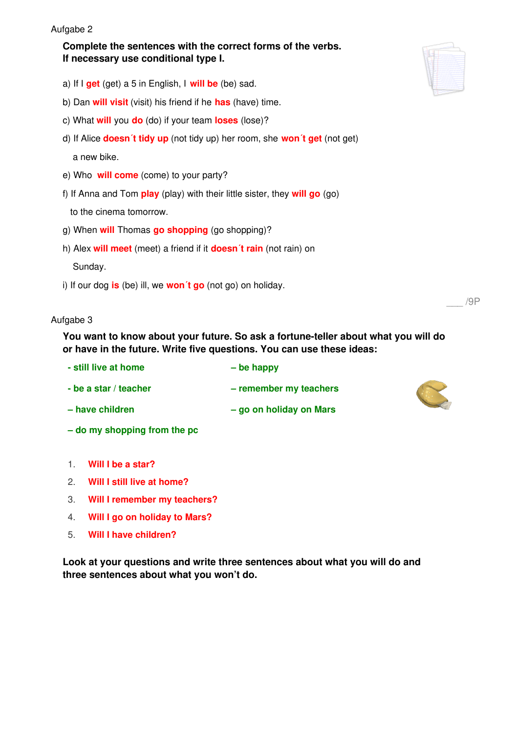#### Aufgabe 2

## **Complete the sentences with the correct forms of the verbs. If necessary use conditional type I.**

- a) If I **get** (get) a 5 in English, I **will be** (be) sad.
- b) Dan **will visit** (visit) his friend if he **has** (have) time.
- c) What **will** you **do** (do) if your team **loses** (lose)?
- d) If Alice **doesn´t tidy up** (not tidy up) her room, she **won´t get** (not get)

a new bike.

- e) Who **will come** (come) to your party?
- f) If Anna and Tom **play** (play) with their little sister, they **will go** (go)

to the cinema tomorrow.

- g) When **will** Thomas **go shopping** (go shopping)?
- h) Alex **will meet** (meet) a friend if it **doesn´t rain** (not rain) on

Sunday.

i) If our dog **is** (be) ill, we **won´t go** (not go) on holiday.

### Aufgabe 3

**You want to know about your future. So ask a fortune-teller about what you will do or have in the future. Write five questions. You can use these ideas:**

| - still live at home  | $-$ be happy            |
|-----------------------|-------------------------|
| - be a star / teacher | - remember my teachers  |
| - have children       | - go on holiday on Mars |

- **– do my shopping from the pc**
- 1. **Will I be a star?**
- 2. **Will I still live at home?**
- 3. **Will I remember my teachers?**
- 4. **Will I go on holiday to Mars?**
- 5. **Will I have children?**

**Look at your questions and write three sentences about what you will do and three sentences about what you won't do.**





\_\_\_ /9P